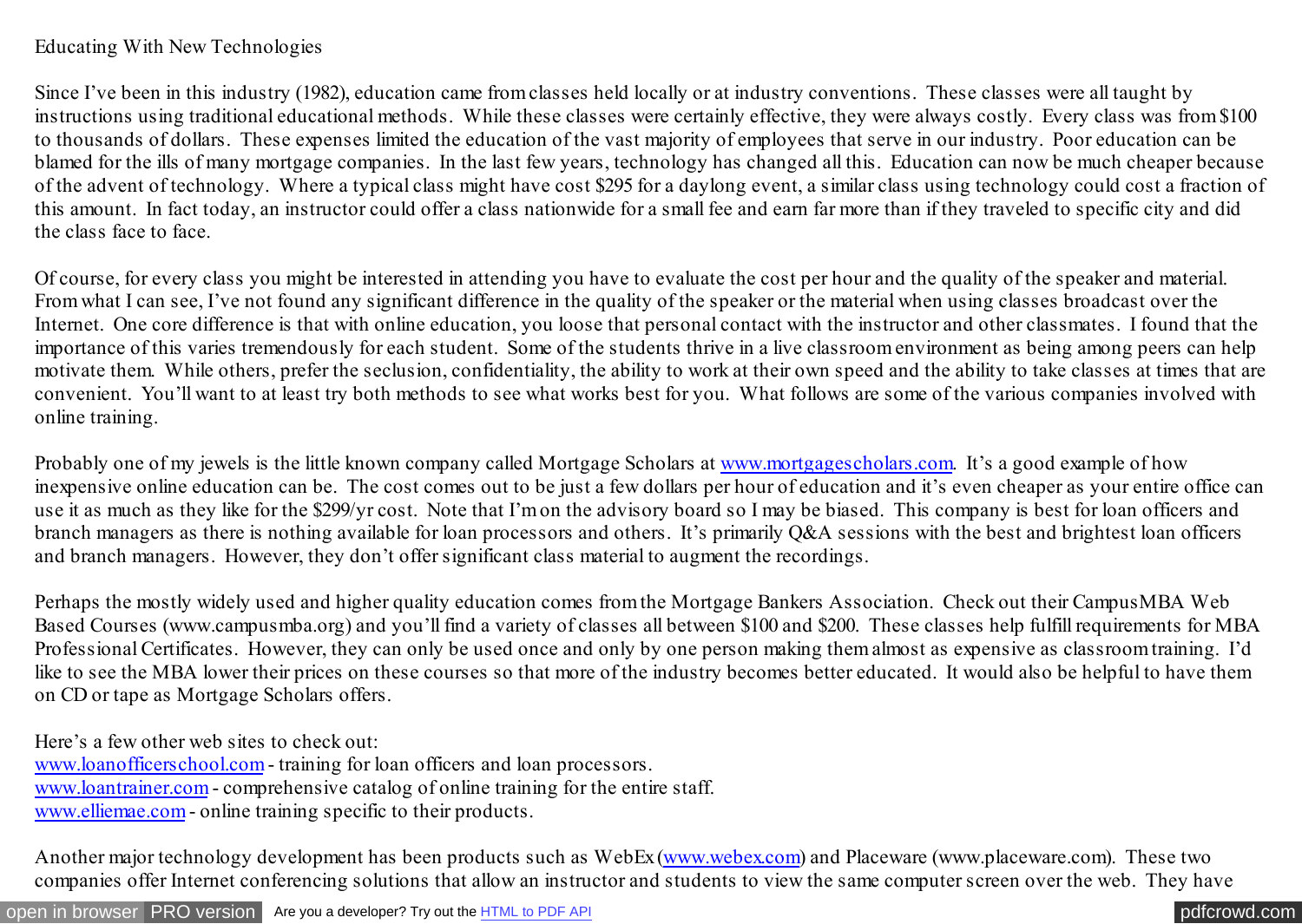## Educating With New Technologies

Since I've been in this industry (1982), education came from classes held locally or at industry conventions. These classes were all taught by instructions using traditional educational methods. While these classes were certainly effective, they were always costly. Every class was from \$100 to thousands of dollars. These expenses limited the education of the vast majority of employees that serve in our industry. Poor education can be blamed for the ills of many mortgage companies. In the last few years, technology has changed all this. Education can now be much cheaper because of the advent of technology. Where a typical class might have cost \$295 for a daylong event, a similar class using technology could cost a fraction of this amount. In fact today, an instructor could offer a class nationwide for a small fee and earn far more than if they traveled to specific city and did the class face to face.

Of course, for every class you might be interested in attending you have to evaluate the cost per hour and the quality of the speaker and material. From what I can see, I've not found any significant difference in the quality of the speaker or the material when using classes broadcast over the Internet. One core difference is that with online education, you loose that personal contact with the instructor and other classmates. I found that the importance of this varies tremendously for each student. Some of the students thrive in a live classroom environment as being among peers can help motivate them. While others, prefer the seclusion, confidentiality, the ability to work at their own speed and the ability to take classes at times that are convenient. You'll want to at least try both methods to see what works best for you. What follows are some of the various companies involved with online training.

Probably one of my jewels is the little known company called Mortgage Scholars at www.mortgagescholars.com. It's a good example of how inexpensive online education can be. The cost comes out to be just a few dollars per hour of education and it's even cheaper as your entire office can use it as much as they like for the \$299/yr cost. Note that I'm on the advisory board so I may be biased. This company is best for loan officers and branch managers as there is nothing available for loan processors and others. It's primarily Q&A sessions with the best and brightest loan officers and branch managers. However, they don't offer significant class material to augment the recordings.

Perhaps the mostly widely used and higher quality education comes from the Mortgage Bankers Association. Check out their CampusMBA Web Based Courses (www.campusmba.org) and you'll find a variety of classes all between \$100 and \$200. These classes help fulfill requirements for MBA Professional Certificates. However, they can only be used once and only by one person making them almost as expensive as classroom training. I'd like to see the MBA lower their prices on these courses so that more of the industry becomes better educated. It would also be helpful to have them on CD or tape as Mortgage Scholars offers.

Here's a few other web sites to check out: www.loanofficerschool.com - training for loan officers and loan processors. www.loantrainer.com - comprehensive catalog of online training for the entire staff. www.elliemae.com - online training specific to their products.

Another major technology development has been products such as WebEx (www.webex.com) and Placeware (www.placeware.com). These two companies offer Internet conferencing solutions that allow an instructor and students to view the same computer screen over the web. They have

[open in browser](http://pdfcrowd.com/redirect/?url=http%3a%2f%2fscooley.com%2fMOM41.htm&id=ma-140810162838-8cdabf84) [PRO version](http://pdfcrowd.com/customize/) Are you a developer? Try out th[e HTML to PDF API](http://pdfcrowd.com/html-to-pdf-api/?ref=pdf) produce the community of the state of the state of the [pdfcrowd.com](http://pdfcrowd.com)